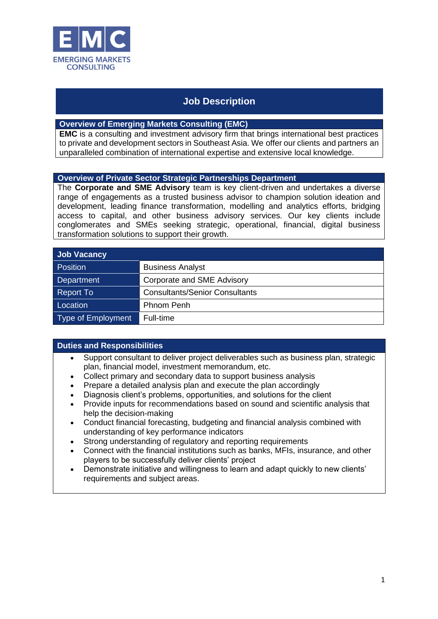

# **Job Description**

# **Overview of Emerging Markets Consulting (EMC)**

**EMC** is a consulting and investment advisory firm that brings international best practices to private and development sectors in Southeast Asia. We offer our clients and partners an unparalleled combination of international expertise and extensive local knowledge.

### **Overview of Private Sector Strategic Partnerships Department**

The **Corporate and SME Advisory** team is key client-driven and undertakes a diverse range of engagements as a trusted business advisor to champion solution ideation and development, leading finance transformation, modelling and analytics efforts, bridging access to capital, and other business advisory services. Our key clients include conglomerates and SMEs seeking strategic, operational, financial, digital business transformation solutions to support their growth.

| <b>Job Vacancy</b>        |                                       |
|---------------------------|---------------------------------------|
| <b>Position</b>           | <b>Business Analyst</b>               |
| Department                | Corporate and SME Advisory            |
| Report To                 | <b>Consultants/Senior Consultants</b> |
| Location                  | Phnom Penh                            |
| <b>Type of Employment</b> | Full-time                             |

# **Duties and Responsibilities**

- Support consultant to deliver project deliverables such as business plan, strategic plan, financial model, investment memorandum, etc.
- Collect primary and secondary data to support business analysis
- Prepare a detailed analysis plan and execute the plan accordingly
- Diagnosis client's problems, opportunities, and solutions for the client
- Provide inputs for recommendations based on sound and scientific analysis that help the decision-making
- Conduct financial forecasting, budgeting and financial analysis combined with understanding of key performance indicators
- Strong understanding of regulatory and reporting requirements
- Connect with the financial institutions such as banks, MFIs, insurance, and other players to be successfully deliver clients' project
- Demonstrate initiative and willingness to learn and adapt quickly to new clients' requirements and subject areas.